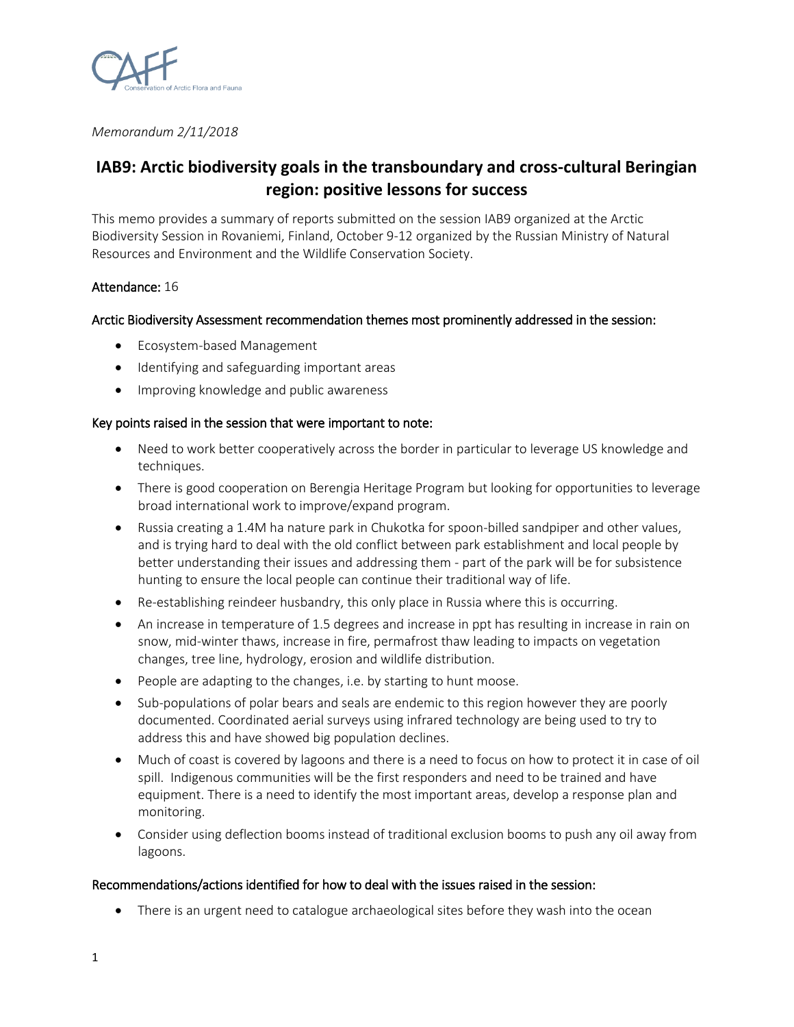

*Memorandum 2/11/2018*

# **IAB9: Arctic biodiversity goals in the transboundary and cross-cultural Beringian region: positive lessons for success**

This memo provides a summary of reports submitted on the session IAB9 organized at the Arctic Biodiversity Session in Rovaniemi, Finland, October 9-12 organized by the Russian Ministry of Natural Resources and Environment and the Wildlife Conservation Society.

# Attendance: 16

# Arctic Biodiversity Assessment recommendation themes most prominently addressed in the session:

- Ecosystem-based Management
- Identifying and safeguarding important areas
- Improving knowledge and public awareness

#### Key points raised in the session that were important to note:

- Need to work better cooperatively across the border in particular to leverage US knowledge and techniques.
- There is good cooperation on Berengia Heritage Program but looking for opportunities to leverage broad international work to improve/expand program.
- Russia creating a 1.4M ha nature park in Chukotka for spoon-billed sandpiper and other values, and is trying hard to deal with the old conflict between park establishment and local people by better understanding their issues and addressing them - part of the park will be for subsistence hunting to ensure the local people can continue their traditional way of life.
- Re-establishing reindeer husbandry, this only place in Russia where this is occurring.
- An increase in temperature of 1.5 degrees and increase in ppt has resulting in increase in rain on snow, mid-winter thaws, increase in fire, permafrost thaw leading to impacts on vegetation changes, tree line, hydrology, erosion and wildlife distribution.
- People are adapting to the changes, i.e. by starting to hunt moose.
- Sub-populations of polar bears and seals are endemic to this region however they are poorly documented. Coordinated aerial surveys using infrared technology are being used to try to address this and have showed big population declines.
- Much of coast is covered by lagoons and there is a need to focus on how to protect it in case of oil spill. Indigenous communities will be the first responders and need to be trained and have equipment. There is a need to identify the most important areas, develop a response plan and monitoring.
- Consider using deflection booms instead of traditional exclusion booms to push any oil away from lagoons.

### Recommendations/actions identified for how to deal with the issues raised in the session:

• There is an urgent need to catalogue archaeological sites before they wash into the ocean